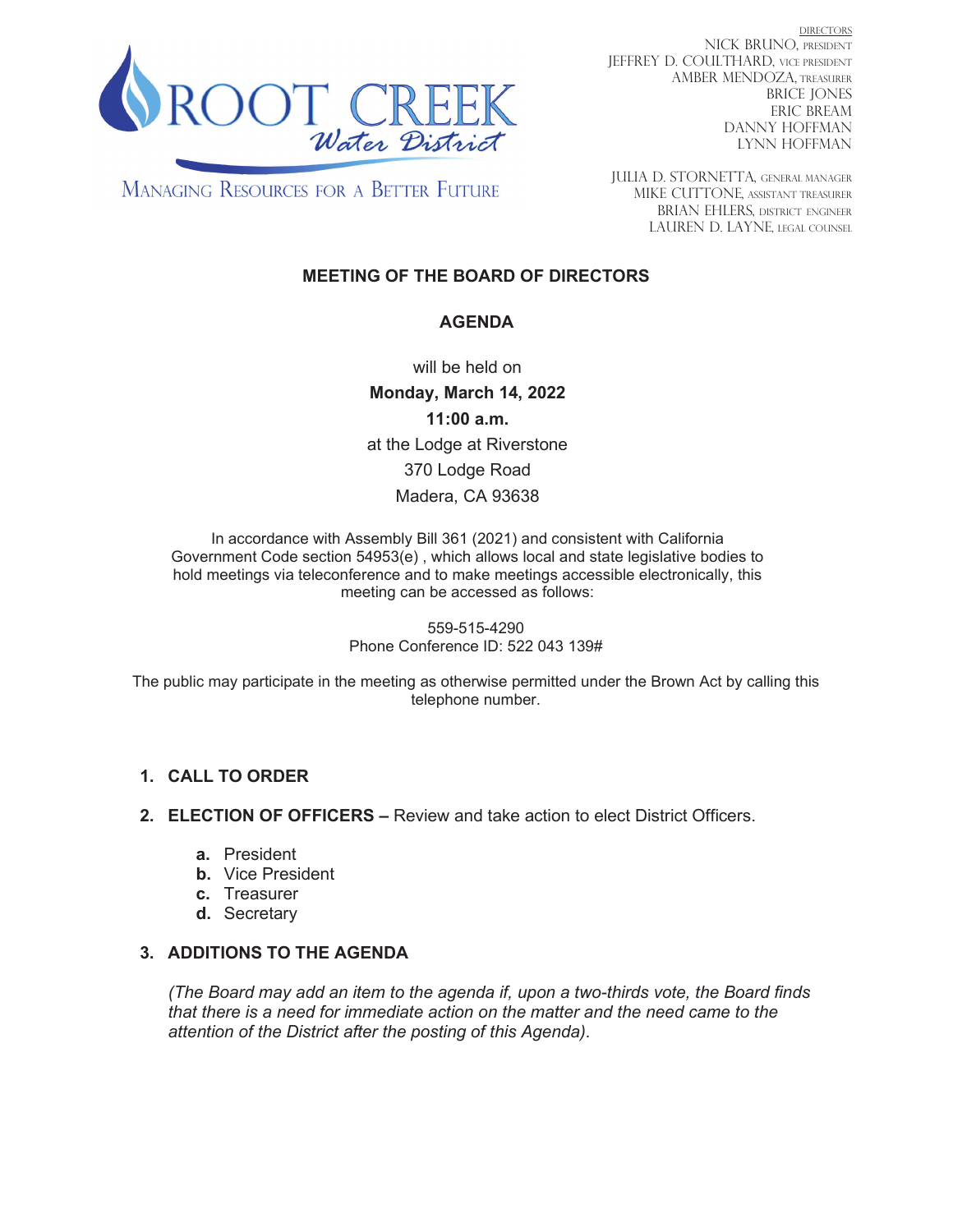

**DIRECTORS** NICK BRUNO, PRESIDENT JEFFREY D. COULTHARD, VICE PRESIDENT **AMBER MENDOZA, TREASURER BRICE JONES ERIC BREAM DANNY HOFFMAN LYNN HOFFMAN** 

**MANAGING RESOURCES FOR A BETTER FUTURE** 

**IULIA D. STORNETTA. GENERAL MANAGER** MIKE CUTTONE, ASSISTANT TREASURER BRIAN EHLERS, DISTRICT ENGINEER LAUREN D. LAYNE, LEGAL COUNSEL

# **MEETING OF THE BOARD OF DIRECTORS**

## **AGENDA**

will be held on Monday, March 14, 2022  $11:00$  a.m. at the Lodge at Riverstone 370 Lodge Road Madera, CA 93638

In accordance with Assembly Bill 361 (2021) and consistent with California Government Code section 54953(e), which allows local and state legislative bodies to hold meetings via teleconference and to make meetings accessible electronically, this meeting can be accessed as follows:

> 559-515-4290 Phone Conference ID: 522 043 139#

The public may participate in the meeting as otherwise permitted under the Brown Act by calling this telephone number.

## 1. CALL TO ORDER

2. ELECTION OF OFFICERS - Review and take action to elect District Officers.

- a. President
- **b.** Vice President
- c. Treasurer
- d. Secretary

## 3. ADDITIONS TO THE AGENDA

(The Board may add an item to the agenda if, upon a two-thirds vote, the Board finds that there is a need for immediate action on the matter and the need came to the attention of the District after the posting of this Agenda).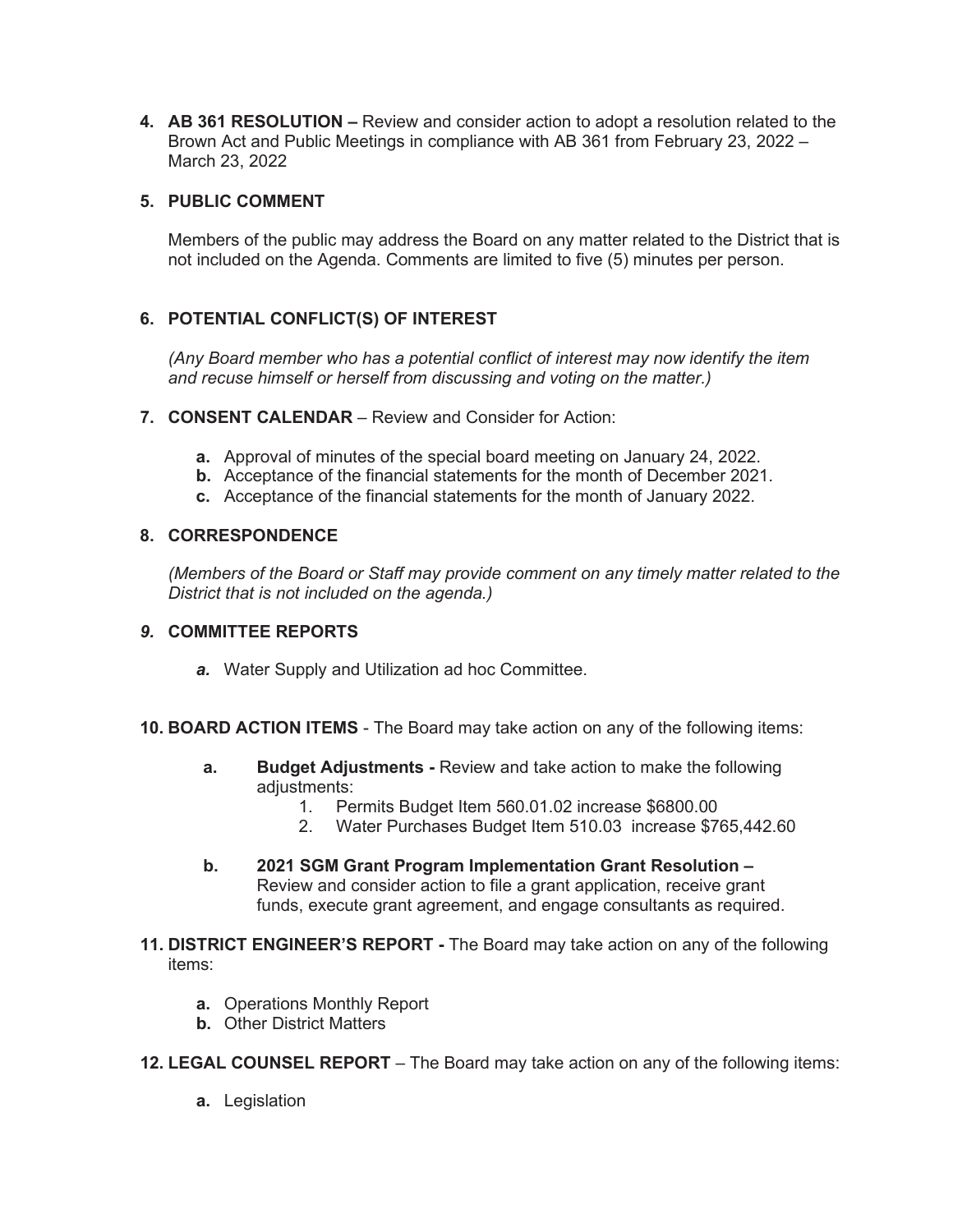**4. AB 361 RESOLUTION –** Review and consider action to adopt a resolution related to the Brown Act and Public Meetings in compliance with AB 361 from February 23, 2022 -March 23, 2022

## **5. PUBLIC COMMENT**

Members of the public may address the Board on any matter related to the District that is not included on the Agenda. Comments are limited to five (5) minutes per person.

# 6. POTENTIAL CONFLICT(S) OF INTEREST

*(Any Board member who has a potential conflict of interest may now identify the item and recuse himself or herself from discussing and voting on the matter.)* 

- **7. CONSENT CALENDAR** Review and Consider for Action:
	- **a.** Approval of minutes of the special board meeting on January 24, 2022.
	- **b.** Acceptance of the financial statements for the month of December 2021.
	- **c.** Acceptance of the financial statements for the month of January 2022.

#### 8. CORRESPONDENCE

*(Members of the Board or Staff may provide comment on any timely matter related to the District that is not included on the agenda.)* 

#### **9. COMMITTEE REPORTS**

- **a.** Water Supply and Utilization ad hoc Committee.
- **10. BOARD ACTION ITEMS** The Board may take action on any of the following items:
	- **a.** Budget Adjustments Review and take action to make the following adjustments:
		- 1. Permits Budget Item 560.01.02 increase \$6800.00
		- 2. Water Purchases Budget Item 510.03 increase \$765,442.60
	- **b.** 2021 SGM Grant Program Implementation Grant Resolution -Review and consider action to file a grant application, receive grant funds, execute grant agreement, and engage consultants as required.
- **11. DISTRICT ENGINEER'S REPORT** The Board may take action on any of the following items:
	- **a.** Operations Monthly Report
	- **b.** Other District Matters
- **12. LEGAL COUNSEL REPORT** The Board may take action on any of the following items:
	- **a.** Legislation